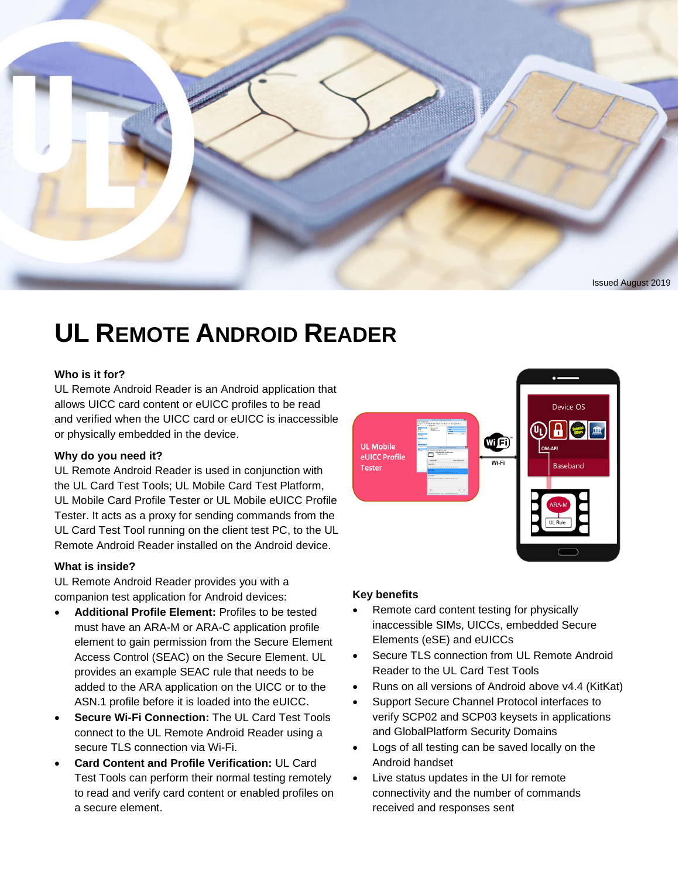

# **UL REMOTE ANDROID READER**

## **Who is it for?**

UL Remote Android Reader is an Android application that allows UICC card content or eUICC profiles to be read and verified when the UICC card or eUICC is inaccessible or physically embedded in the device.

#### **Why do you need it?**

UL Remote Android Reader is used in conjunction with the UL Card Test Tools; UL Mobile Card Test Platform, UL Mobile Card Profile Tester or UL Mobile eUICC Profile Tester. It acts as a proxy for sending commands from the UL Card Test Tool running on the client test PC, to the UL Remote Android Reader installed on the Android device.

### **What is inside?**

UL Remote Android Reader provides you with a companion test application for Android devices:

- **Additional Profile Element:** Profiles to be tested must have an ARA-M or ARA-C application profile element to gain permission from the Secure Element Access Control (SEAC) on the Secure Element. UL provides an example SEAC rule that needs to be added to the ARA application on the UICC or to the ASN.1 profile before it is loaded into the eUICC.
- **Secure Wi-Fi Connection:** The UL Card Test Tools connect to the UL Remote Android Reader using a secure TLS connection via Wi-Fi.
- **Card Content and Profile Verification:** UL Card Test Tools can perform their normal testing remotely to read and verify card content or enabled profiles on a secure element.

# Device OS  $\left( 0_{\rm L}\right)$ WFI **UL Mobile** eUICC Profile Baseband **Tester**

## **Key benefits**

- Remote card content testing for physically inaccessible SIMs, UICCs, embedded Secure Elements (eSE) and eUICCs
- Secure TLS connection from UL Remote Android Reader to the UL Card Test Tools
- Runs on all versions of Android above v4.4 (KitKat)
- Support Secure Channel Protocol interfaces to verify SCP02 and SCP03 keysets in applications and GlobalPlatform Security Domains
- Logs of all testing can be saved locally on the Android handset
- Live status updates in the UI for remote connectivity and the number of commands received and responses sent